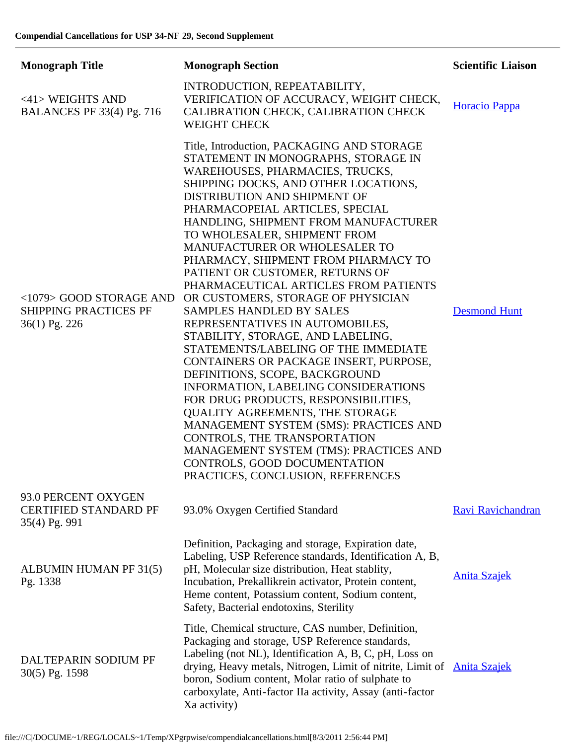| <b>Monograph Title</b>                                                   | <b>Monograph Section</b>                                                                                                                                                                                                                                                                                                                                                                                                                                                                                                                                                                                                                                                                                                                                                                                                                                                                                                                                                                                                                            | <b>Scientific Liaison</b> |
|--------------------------------------------------------------------------|-----------------------------------------------------------------------------------------------------------------------------------------------------------------------------------------------------------------------------------------------------------------------------------------------------------------------------------------------------------------------------------------------------------------------------------------------------------------------------------------------------------------------------------------------------------------------------------------------------------------------------------------------------------------------------------------------------------------------------------------------------------------------------------------------------------------------------------------------------------------------------------------------------------------------------------------------------------------------------------------------------------------------------------------------------|---------------------------|
| $<$ 41> WEIGHTS AND<br><b>BALANCES PF 33(4) Pg. 716</b>                  | INTRODUCTION, REPEATABILITY,<br>VERIFICATION OF ACCURACY, WEIGHT CHECK,<br>CALIBRATION CHECK, CALIBRATION CHECK<br><b>WEIGHT CHECK</b>                                                                                                                                                                                                                                                                                                                                                                                                                                                                                                                                                                                                                                                                                                                                                                                                                                                                                                              | Horacio Pappa             |
| <1079> GOOD STORAGE AND<br><b>SHIPPING PRACTICES PF</b><br>36(1) Pg. 226 | Title, Introduction, PACKAGING AND STORAGE<br>STATEMENT IN MONOGRAPHS, STORAGE IN<br>WAREHOUSES, PHARMACIES, TRUCKS,<br>SHIPPING DOCKS, AND OTHER LOCATIONS,<br>DISTRIBUTION AND SHIPMENT OF<br>PHARMACOPEIAL ARTICLES, SPECIAL<br>HANDLING, SHIPMENT FROM MANUFACTURER<br>TO WHOLESALER, SHIPMENT FROM<br>MANUFACTURER OR WHOLESALER TO<br>PHARMACY, SHIPMENT FROM PHARMACY TO<br>PATIENT OR CUSTOMER, RETURNS OF<br>PHARMACEUTICAL ARTICLES FROM PATIENTS<br>OR CUSTOMERS, STORAGE OF PHYSICIAN<br><b>SAMPLES HANDLED BY SALES</b><br>REPRESENTATIVES IN AUTOMOBILES,<br>STABILITY, STORAGE, AND LABELING,<br>STATEMENTS/LABELING OF THE IMMEDIATE<br>CONTAINERS OR PACKAGE INSERT, PURPOSE,<br>DEFINITIONS, SCOPE, BACKGROUND<br>INFORMATION, LABELING CONSIDERATIONS<br>FOR DRUG PRODUCTS, RESPONSIBILITIES,<br><b>QUALITY AGREEMENTS, THE STORAGE</b><br>MANAGEMENT SYSTEM (SMS): PRACTICES AND<br>CONTROLS, THE TRANSPORTATION<br>MANAGEMENT SYSTEM (TMS): PRACTICES AND<br>CONTROLS, GOOD DOCUMENTATION<br>PRACTICES, CONCLUSION, REFERENCES | <b>Desmond Hunt</b>       |
| 93.0 PERCENT OXYGEN<br><b>CERTIFIED STANDARD PF</b><br>35(4) Pg. 991     | 93.0% Oxygen Certified Standard                                                                                                                                                                                                                                                                                                                                                                                                                                                                                                                                                                                                                                                                                                                                                                                                                                                                                                                                                                                                                     | Ravi Ravichandran         |
| ALBUMIN HUMAN PF 31(5)<br>Pg. 1338                                       | Definition, Packaging and storage, Expiration date,<br>Labeling, USP Reference standards, Identification A, B,<br>pH, Molecular size distribution, Heat stablity,<br>Incubation, Prekallikrein activator, Protein content,<br>Heme content, Potassium content, Sodium content,<br>Safety, Bacterial endotoxins, Sterility                                                                                                                                                                                                                                                                                                                                                                                                                                                                                                                                                                                                                                                                                                                           | <b>Anita Szajek</b>       |
| DALTEPARIN SODIUM PF<br>30(5) Pg. 1598                                   | Title, Chemical structure, CAS number, Definition,<br>Packaging and storage, USP Reference standards,<br>Labeling (not NL), Identification A, B, C, pH, Loss on<br>drying, Heavy metals, Nitrogen, Limit of nitrite, Limit of Anita Szajek<br>boron, Sodium content, Molar ratio of sulphate to<br>carboxylate, Anti-factor IIa activity, Assay (anti-factor<br>Xa activity)                                                                                                                                                                                                                                                                                                                                                                                                                                                                                                                                                                                                                                                                        |                           |